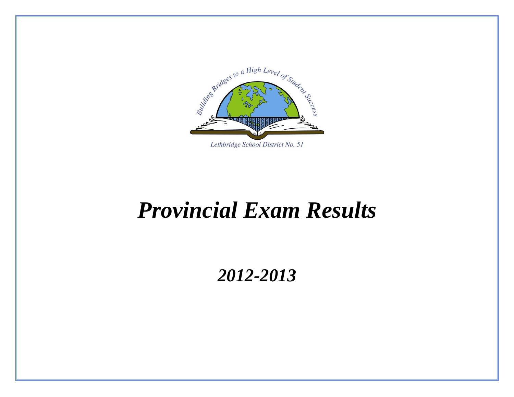

## *Provincial Exam Results*

## *2012-2013*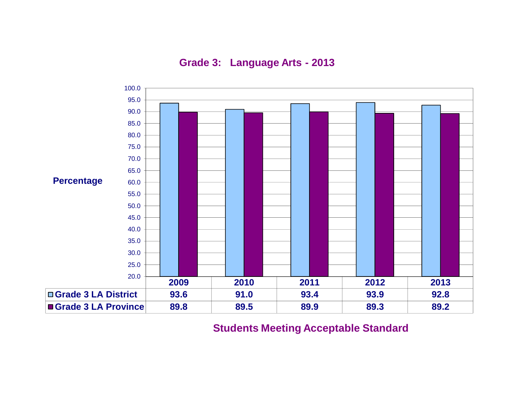

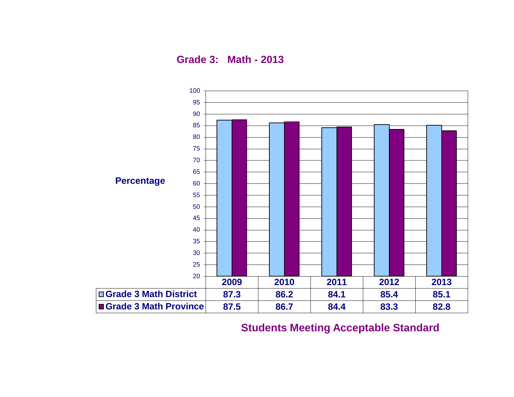**Grade 3: Math - 2013**

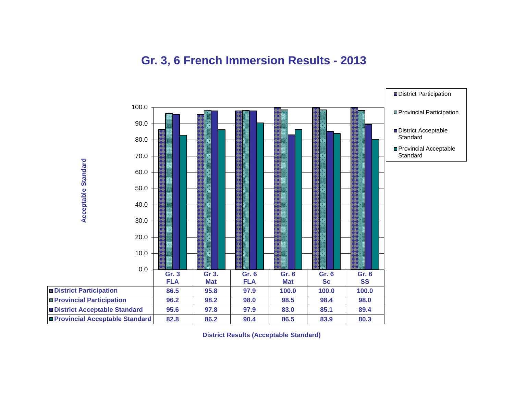#### **Gr. 3, 6 French Immersion Results - 2013**



**District Results (Acceptable Standard)**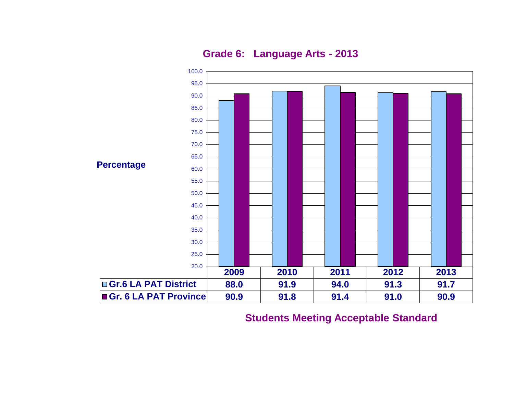**Grade 6: Language Arts - 2013**

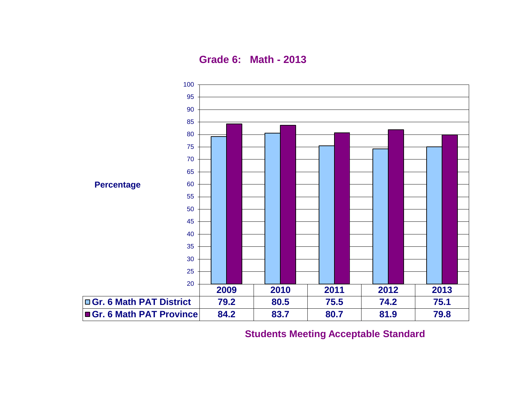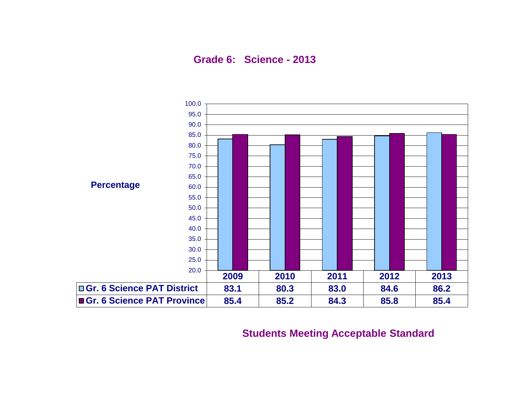**Grade 6: Science - 2013**

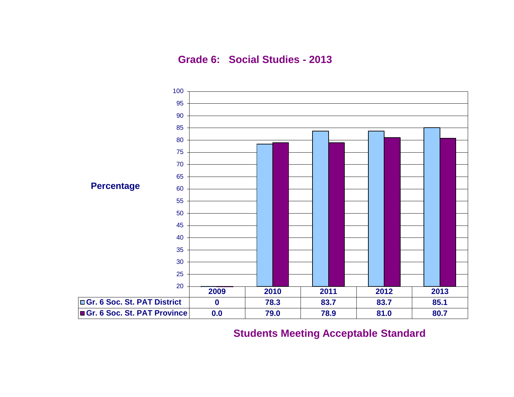**Grade 6: Social Studies - 2013**

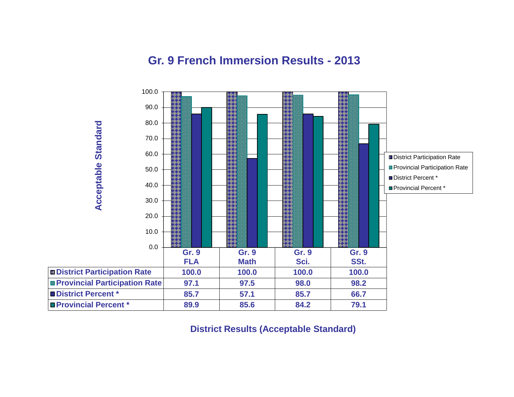#### **Gr. 9 French Immersion Results - 2013**



**District Results (Acceptable Standard)**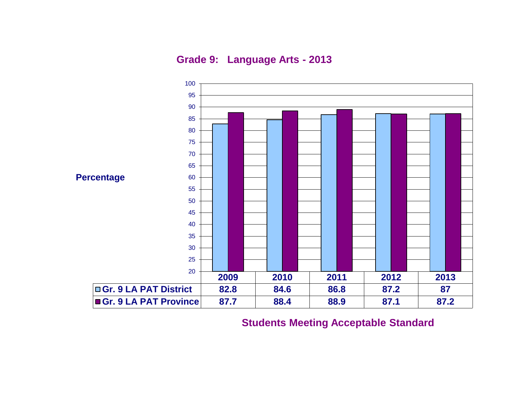**Grade 9: Language Arts - 2013**

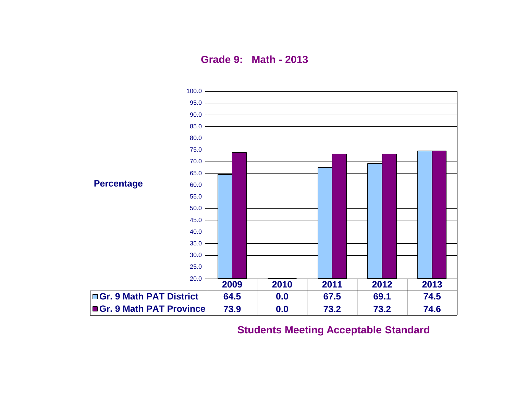**Grade 9: Math - 2013**

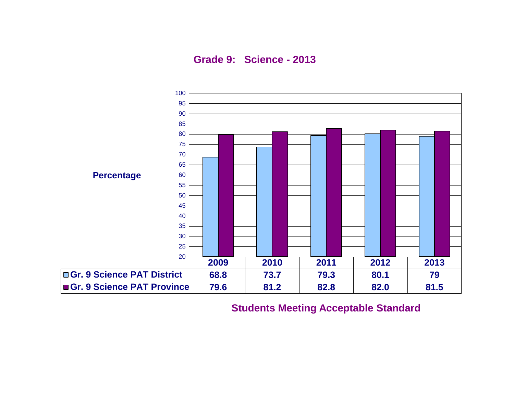**Grade 9: Science - 2013**

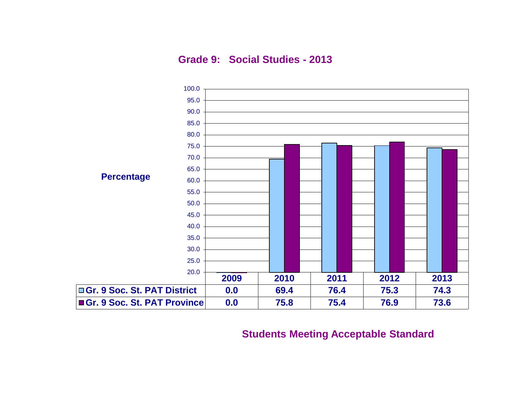**Grade 9: Social Studies - 2013**

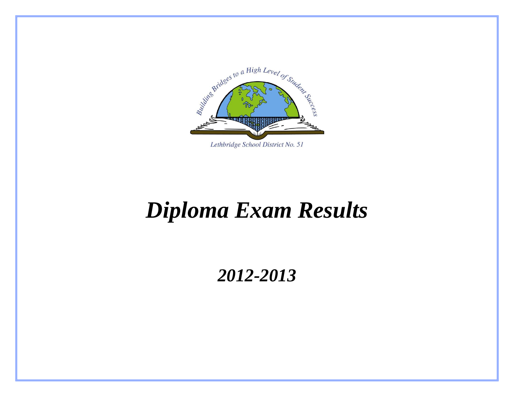

# *Diploma Exam Results*

### *2012-2013*